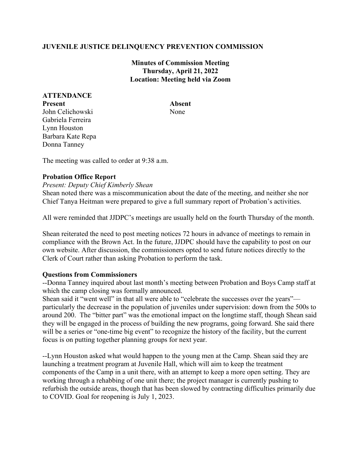# **JUVENILE JUSTICE DELINQUENCY PREVENTION COMMISSION**

**Minutes of Commission Meeting Thursday, April 21, 2022 Location: Meeting held via Zoom**

## **ATTENDANCE Present Absent** John Celichowski None Gabriela Ferreira Lynn Houston

Barbara Kate Repa Donna Tanney

The meeting was called to order at 9:38 a.m.

## **Probation Office Report**

### *Present: Deputy Chief Kimberly Shean*

Shean noted there was a miscommunication about the date of the meeting, and neither she nor Chief Tanya Heitman were prepared to give a full summary report of Probation's activities.

All were reminded that JJDPC's meetings are usually held on the fourth Thursday of the month.

Shean reiterated the need to post meeting notices 72 hours in advance of meetings to remain in compliance with the Brown Act. In the future, JJDPC should have the capability to post on our own website. After discussion, the commissioners opted to send future notices directly to the Clerk of Court rather than asking Probation to perform the task.

### **Questions from Commissioners**

--Donna Tanney inquired about last month's meeting between Probation and Boys Camp staff at which the camp closing was formally announced.

Shean said it "went well" in that all were able to "celebrate the successes over the years" particularly the decrease in the population of juveniles under supervision: down from the 500s to around 200. The "bitter part" was the emotional impact on the longtime staff, though Shean said they will be engaged in the process of building the new programs, going forward. She said there will be a series or "one-time big event" to recognize the history of the facility, but the current focus is on putting together planning groups for next year.

--Lynn Houston asked what would happen to the young men at the Camp. Shean said they are launching a treatment program at Juvenile Hall, which will aim to keep the treatment components of the Camp in a unit there, with an attempt to keep a more open setting. They are working through a rehabbing of one unit there; the project manager is currently pushing to refurbish the outside areas, though that has been slowed by contracting difficulties primarily due to COVID. Goal for reopening is July 1, 2023.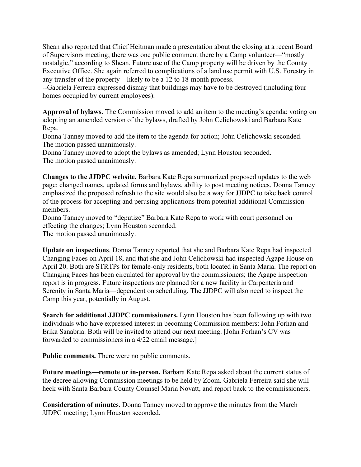Shean also reported that Chief Heitman made a presentation about the closing at a recent Board of Supervisors meeting; there was one public comment there by a Camp volunteer—"mostly nostalgic," according to Shean. Future use of the Camp property will be driven by the County Executive Office. She again referred to complications of a land use permit with U.S. Forestry in any transfer of the property—likely to be a 12 to 18-month process.

--Gabriela Ferreira expressed dismay that buildings may have to be destroyed (including four homes occupied by current employees).

**Approval of bylaws.** The Commission moved to add an item to the meeting's agenda: voting on adopting an amended version of the bylaws, drafted by John Celichowski and Barbara Kate Repa.

Donna Tanney moved to add the item to the agenda for action; John Celichowski seconded. The motion passed unanimously.

Donna Tanney moved to adopt the bylaws as amended; Lynn Houston seconded. The motion passed unanimously.

**Changes to the JJDPC website.** Barbara Kate Repa summarized proposed updates to the web page: changed names, updated forms and bylaws, ability to post meeting notices. Donna Tanney emphasized the proposed refresh to the site would also be a way for JJDPC to take back control of the process for accepting and perusing applications from potential additional Commission members.

Donna Tanney moved to "deputize" Barbara Kate Repa to work with court personnel on effecting the changes; Lynn Houston seconded.

The motion passed unanimously.

**Update on inspections**. Donna Tanney reported that she and Barbara Kate Repa had inspected Changing Faces on April 18, and that she and John Celichowski had inspected Agape House on April 20. Both are STRTPs for female-only residents, both located in Santa Maria. The report on Changing Faces has been circulated for approval by the commissioners; the Agape inspection report is in progress. Future inspections are planned for a new facility in Carpenteria and Serenity in Santa Maria—dependent on scheduling. The JJDPC will also need to inspect the Camp this year, potentially in August.

**Search for additional JJDPC commissioners.** Lynn Houston has been following up with two individuals who have expressed interest in becoming Commission members: John Forhan and Erika Sanabria. Both will be invited to attend our next meeting. [John Forhan's CV was forwarded to commissioners in a 4/22 email message.]

**Public comments.** There were no public comments.

**Future meetings—remote or in-person.** Barbara Kate Repa asked about the current status of the decree allowing Commission meetings to be held by Zoom. Gabriela Ferreira said she will heck with Santa Barbara County Counsel Maria Novatt, and report back to the commissioners.

**Consideration of minutes.** Donna Tanney moved to approve the minutes from the March JJDPC meeting; Lynn Houston seconded.